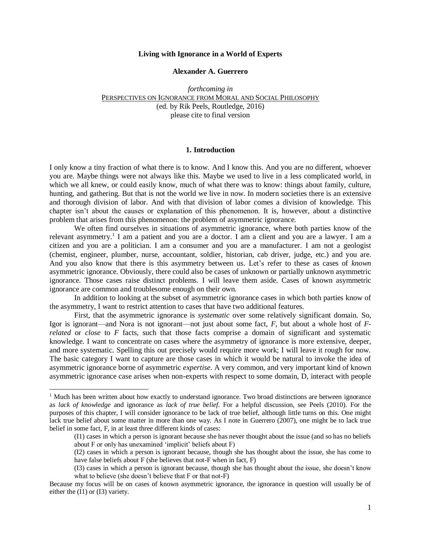### **Living with Ignorance in a World of Experts**

## **Alexander A. Guerrero**

*forthcoming in*  PERSPECTIVES ON IGNORANCE FROM MORAL AND SOCIAL PHILOSOPHY (ed. by Rik Peels, Routledge, 2016) please cite to final version

### **1. Introduction**

I only know a tiny fraction of what there is to know. And I know this. And you are no different, whoever you are. Maybe things were not always like this. Maybe we used to live in a less complicated world, in which we all knew, or could easily know, much of what there was to know: things about family, culture, hunting, and gathering. But that is not the world we live in now. In modern societies there is an extensive and thorough division of labor. And with that division of labor comes a division of knowledge. This chapter isn't about the causes or explanation of this phenomenon. It is, however, about a distinctive problem that arises from this phenomenon: the problem of asymmetric ignorance.

We often find ourselves in situations of asymmetric ignorance, where both parties know of the relevant asymmetry.<sup>1</sup> I am a patient and you are a doctor. I am a client and you are a lawyer. I am a citizen and you are a politician. I am a consumer and you are a manufacturer. I am not a geologist (chemist, engineer, plumber, nurse, accountant, soldier, historian, cab driver, judge, etc.) and you are. And you also know that there is this asymmetry between us. Let's refer to these as cases of *known*  asymmetric ignorance. Obviously, there could also be cases of unknown or partially unknown asymmetric ignorance. Those cases raise distinct problems. I will leave them aside. Cases of known asymmetric ignorance are common and troublesome enough on their own.

In addition to looking at the subset of asymmetric ignorance cases in which both parties know of the asymmetry, I want to restrict attention to cases that have two additional features.

First, that the asymmetric ignorance is *systematic* over some relatively significant domain. So, Igor is ignorant—and Nora is not ignorant—not just about some fact, *F*, but about a whole host of *Frelated* or *close* to *F* facts, such that those facts comprise a domain of significant and systematic knowledge. I want to concentrate on cases where the asymmetry of ignorance is more extensive, deeper, and more systematic. Spelling this out precisely would require more work; I will leave it rough for now. The basic category I want to capture are those cases in which it would be natural to invoke the idea of asymmetric ignorance borne of asymmetric *expertise*. A very common, and very important kind of known asymmetric ignorance case arises when non-experts with respect to some domain, D, interact with people

<sup>&</sup>lt;sup>1</sup> Much has been written about how exactly to understand ignorance. Two broad distinctions are between ignorance as *lack of knowledge* and ignorance as *lack of true belief*. For a helpful discussion, see Peels (2010). For the purposes of this chapter, I will consider ignorance to be lack of true belief, although little turns on this. One might lack true belief about some matter in more than one way. As I note in Guerrero (2007), one might be to lack true belief in some fact, F, in at least three different kinds of cases:

<sup>(</sup>I1) cases in which a person is ignorant because she has never thought about the issue (and so has no beliefs about F or only has unexamined 'implicit' beliefs about F)

<sup>(</sup>I2) cases in which a person is ignorant because, though she has thought about the issue, she has come to have false beliefs about F (she believes that not-F when in fact, F)

<sup>(</sup>I3) cases in which a person is ignorant because, though she has thought about the issue, she doesn't know what to believe (she doesn't believe that F or that not-F)

Because my focus will be on cases of known asymmetric ignorance, the ignorance in question will usually be of either the (I1) or (I3) variety.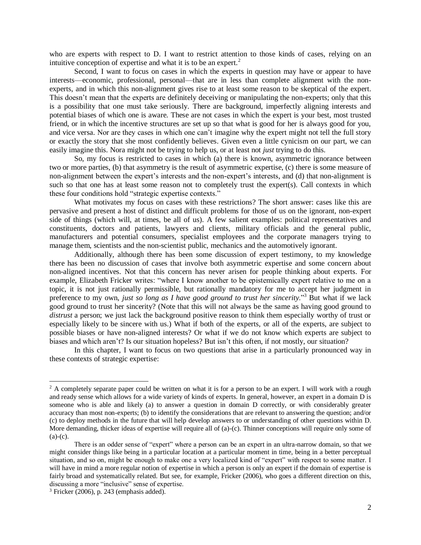who are experts with respect to D. I want to restrict attention to those kinds of cases, relying on an intuitive conception of expertise and what it is to be an expert. $<sup>2</sup>$ </sup>

Second, I want to focus on cases in which the experts in question may have or appear to have interests—economic, professional, personal—that are in less than complete alignment with the nonexperts, and in which this non-alignment gives rise to at least some reason to be skeptical of the expert. This doesn't mean that the experts are definitely deceiving or manipulating the non-experts; only that this is a possibility that one must take seriously. There are background, imperfectly aligning interests and potential biases of which one is aware. These are not cases in which the expert is your best, most trusted friend, or in which the incentive structures are set up so that what is good for her is always good for you, and vice versa. Nor are they cases in which one can't imagine why the expert might not tell the full story or exactly the story that she most confidently believes. Given even a little cynicism on our part, we can easily imagine this. Nora might not be trying to help us, or at least not *just* trying to do this.

So, my focus is restricted to cases in which (a) there is known, asymmetric ignorance between two or more parties, (b) that asymmetry is the result of asymmetric expertise, (c) there is some measure of non-alignment between the expert's interests and the non-expert's interests, and (d) that non-alignment is such so that one has at least some reason not to completely trust the expert(s). Call contexts in which these four conditions hold "strategic expertise contexts."

What motivates my focus on cases with these restrictions? The short answer: cases like this are pervasive and present a host of distinct and difficult problems for those of us on the ignorant, non-expert side of things (which will, at times, be all of us). A few salient examples: political representatives and constituents, doctors and patients, lawyers and clients, military officials and the general public, manufacturers and potential consumers, specialist employees and the corporate managers trying to manage them, scientists and the non-scientist public, mechanics and the automotively ignorant.

Additionally, although there has been some discussion of expert testimony, to my knowledge there has been no discussion of cases that involve both asymmetric expertise and some concern about non-aligned incentives. Not that this concern has never arisen for people thinking about experts. For example, Elizabeth Fricker writes: "where I know another to be epistemically expert relative to me on a topic, it is not just rationally permissible, but rationally mandatory for me to accept her judgment in preference to my own, *just so long as I have good ground to trust her sincerity*."<sup>3</sup> But what if we lack good ground to trust her sincerity? (Note that this will not always be the same as having good ground to *distrust* a person; we just lack the background positive reason to think them especially worthy of trust or especially likely to be sincere with us.) What if both of the experts, or all of the experts, are subject to possible biases or have non-aligned interests? Or what if we do not know which experts are subject to biases and which aren't? Is our situation hopeless? But isn't this often, if not mostly, our situation?

In this chapter, I want to focus on two questions that arise in a particularly pronounced way in these contexts of strategic expertise:

 $2 A$  completely separate paper could be written on what it is for a person to be an expert. I will work with a rough and ready sense which allows for a wide variety of kinds of experts. In general, however, an expert in a domain D is someone who is able and likely (a) to answer a question in domain D correctly, or with considerably greater accuracy than most non-experts; (b) to identify the considerations that are relevant to answering the question; and/or (c) to deploy methods in the future that will help develop answers to or understanding of other questions within D. More demanding, thicker ideas of expertise will require all of (a)-(c). Thinner conceptions will require only some of  $(a)-(c)$ .

There is an odder sense of "expert" where a person can be an expert in an ultra-narrow domain, so that we might consider things like being in a particular location at a particular moment in time, being in a better perceptual situation, and so on, might be enough to make one a very localized kind of "expert" with respect to some matter. I will have in mind a more regular notion of expertise in which a person is only an expert if the domain of expertise is fairly broad and systematically related. But see, for example, Fricker (2006), who goes a different direction on this, discussing a more "inclusive" sense of expertise.

 $3$  Fricker (2006), p. 243 (emphasis added).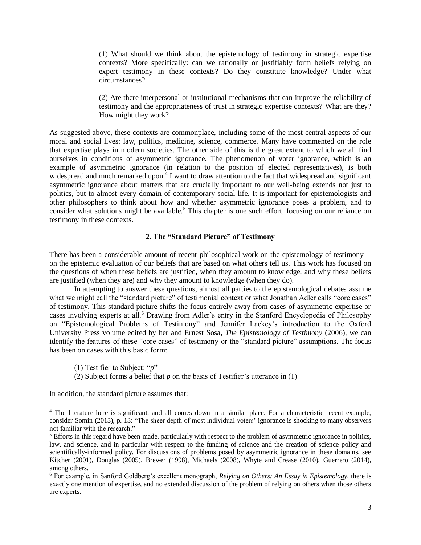(1) What should we think about the epistemology of testimony in strategic expertise contexts? More specifically: can we rationally or justifiably form beliefs relying on expert testimony in these contexts? Do they constitute knowledge? Under what circumstances?

(2) Are there interpersonal or institutional mechanisms that can improve the reliability of testimony and the appropriateness of trust in strategic expertise contexts? What are they? How might they work?

As suggested above, these contexts are commonplace, including some of the most central aspects of our moral and social lives: law, politics, medicine, science, commerce. Many have commented on the role that expertise plays in modern societies. The other side of this is the great extent to which we all find ourselves in conditions of asymmetric ignorance. The phenomenon of voter ignorance, which is an example of asymmetric ignorance (in relation to the position of elected representatives), is both widespread and much remarked upon.<sup>4</sup> I want to draw attention to the fact that widespread and significant asymmetric ignorance about matters that are crucially important to our well-being extends not just to politics, but to almost every domain of contemporary social life. It is important for epistemologists and other philosophers to think about how and whether asymmetric ignorance poses a problem, and to consider what solutions might be available.<sup>5</sup> This chapter is one such effort, focusing on our reliance on testimony in these contexts.

## **2. The "Standard Picture" of Testimony**

There has been a considerable amount of recent philosophical work on the epistemology of testimony on the epistemic evaluation of our beliefs that are based on what others tell us. This work has focused on the questions of when these beliefs are justified, when they amount to knowledge, and why these beliefs are justified (when they are) and why they amount to knowledge (when they do).

In attempting to answer these questions, almost all parties to the epistemological debates assume what we might call the "standard picture" of testimonial context or what Jonathan Adler calls "core cases" of testimony. This standard picture shifts the focus entirely away from cases of asymmetric expertise or cases involving experts at all.<sup>6</sup> Drawing from Adler's entry in the Stanford Encyclopedia of Philosophy on "Epistemological Problems of Testimony" and Jennifer Lackey's introduction to the Oxford University Press volume edited by her and Ernest Sosa, *The Epistemology of Testimony* (2006), we can identify the features of these "core cases" of testimony or the "standard picture" assumptions. The focus has been on cases with this basic form:

- (1) Testifier to Subject: "*p*"
- (2) Subject forms a belief that *p* on the basis of Testifier's utterance in (1)

In addition, the standard picture assumes that:

<sup>&</sup>lt;sup>4</sup> The literature here is significant, and all comes down in a similar place. For a characteristic recent example, consider Somin (2013), p. 13: "The sheer depth of most individual voters' ignorance is shocking to many observers not familiar with the research."

<sup>5</sup> Efforts in this regard have been made, particularly with respect to the problem of asymmetric ignorance in politics, law, and science, and in particular with respect to the funding of science and the creation of science policy and scientifically-informed policy. For discussions of problems posed by asymmetric ignorance in these domains, see Kitcher (2001), Douglas (2005), Brewer (1998), Michaels (2008), Whyte and Crease (2010), Guerrero (2014), among others.

<sup>6</sup> For example, in Sanford Goldberg's excellent monograph, *Relying on Others: An Essay in Epistemology*, there is exactly one mention of expertise, and no extended discussion of the problem of relying on others when those others are experts.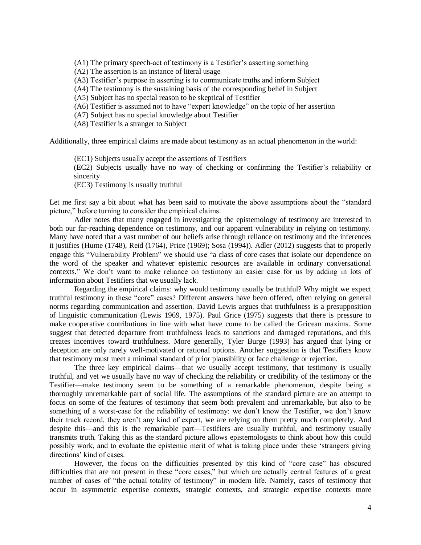(A1) The primary speech-act of testimony is a Testifier's asserting something

(A2) The assertion is an instance of literal usage

(A3) Testifier's purpose in asserting is to communicate truths and inform Subject

(A4) The testimony is the sustaining basis of the corresponding belief in Subject

(A5) Subject has no special reason to be skeptical of Testifier

(A6) Testifier is assumed not to have "expert knowledge" on the topic of her assertion

(A7) Subject has no special knowledge about Testifier

(A8) Testifier is a stranger to Subject

Additionally, three empirical claims are made about testimony as an actual phenomenon in the world:

(EC1) Subjects usually accept the assertions of Testifiers

(EC2) Subjects usually have no way of checking or confirming the Testifier's reliability or sincerity

(EC3) Testimony is usually truthful

Let me first say a bit about what has been said to motivate the above assumptions about the "standard picture," before turning to consider the empirical claims.

Adler notes that many engaged in investigating the epistemology of testimony are interested in both our far-reaching dependence on testimony, and our apparent vulnerability in relying on testimony. Many have noted that a vast number of our beliefs arise through reliance on testimony and the inferences it justifies (Hume (1748), Reid (1764), Price (1969); Sosa (1994)). Adler (2012) suggests that to properly engage this "Vulnerability Problem" we should use "a class of core cases that isolate our dependence on the word of the speaker and whatever epistemic resources are available in ordinary conversational contexts." We don't want to make reliance on testimony an easier case for us by adding in lots of information about Testifiers that we usually lack.

Regarding the empirical claims: why would testimony usually be truthful? Why might we expect truthful testimony in these "core" cases? Different answers have been offered, often relying on general norms regarding communication and assertion. David Lewis argues that truthfulness is a presupposition of linguistic communication (Lewis 1969, 1975). Paul Grice (1975) suggests that there is pressure to make cooperative contributions in line with what have come to be called the Gricean maxims. Some suggest that detected departure from truthfulness leads to sanctions and damaged reputations, and this creates incentives toward truthfulness. More generally, Tyler Burge (1993) has argued that lying or deception are only rarely well-motivated or rational options. Another suggestion is that Testifiers know that testimony must meet a minimal standard of prior plausibility or face challenge or rejection.

The three key empirical claims—that we usually accept testimony, that testimony is usually truthful, and yet we usually have no way of checking the reliability or credibility of the testimony or the Testifier—make testimony seem to be something of a remarkable phenomenon, despite being a thoroughly unremarkable part of social life. The assumptions of the standard picture are an attempt to focus on some of the features of testimony that seem both prevalent and unremarkable, but also to be something of a worst-case for the reliability of testimony: we don't know the Testifier, we don't know their track record, they aren't any kind of expert, we are relying on them pretty much completely. And despite this—and this is the remarkable part—Testifiers are usually truthful, and testimony usually transmits truth. Taking this as the standard picture allows epistemologists to think about how this could possibly work, and to evaluate the epistemic merit of what is taking place under these 'strangers giving directions' kind of cases.

However, the focus on the difficulties presented by this kind of "core case" has obscured difficulties that are not present in these "core cases," but which are actually central features of a great number of cases of "the actual totality of testimony" in modern life. Namely, cases of testimony that occur in asymmetric expertise contexts, strategic contexts, and strategic expertise contexts more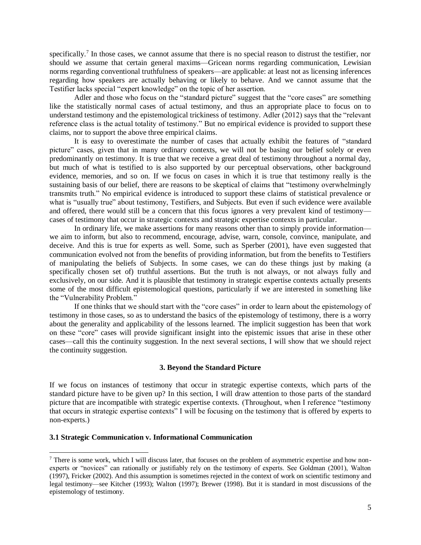specifically.<sup>7</sup> In those cases, we cannot assume that there is no special reason to distrust the testifier, nor should we assume that certain general maxims—Gricean norms regarding communication, Lewisian norms regarding conventional truthfulness of speakers—are applicable: at least not as licensing inferences regarding how speakers are actually behaving or likely to behave. And we cannot assume that the Testifier lacks special "expert knowledge" on the topic of her assertion.

Adler and those who focus on the "standard picture" suggest that the "core cases" are something like the statistically normal cases of actual testimony, and thus an appropriate place to focus on to understand testimony and the epistemological trickiness of testimony. Adler (2012) says that the "relevant reference class is the actual totality of testimony." But no empirical evidence is provided to support these claims, nor to support the above three empirical claims.

It is easy to overestimate the number of cases that actually exhibit the features of "standard picture" cases, given that in many ordinary contexts, we will not be basing our belief solely or even predominantly on testimony. It is true that we receive a great deal of testimony throughout a normal day, but much of what is testified to is also supported by our perceptual observations, other background evidence, memories, and so on. If we focus on cases in which it is true that testimony really is the sustaining basis of our belief, there are reasons to be skeptical of claims that "testimony overwhelmingly transmits truth." No empirical evidence is introduced to support these claims of statistical prevalence or what is "usually true" about testimony, Testifiers, and Subjects. But even if such evidence were available and offered, there would still be a concern that this focus ignores a very prevalent kind of testimony cases of testimony that occur in strategic contexts and strategic expertise contexts in particular.

In ordinary life, we make assertions for many reasons other than to simply provide information we aim to inform, but also to recommend, encourage, advise, warn, console, convince, manipulate, and deceive. And this is true for experts as well. Some, such as Sperber (2001), have even suggested that communication evolved not from the benefits of providing information, but from the benefits to Testifiers of manipulating the beliefs of Subjects. In some cases, we can do these things just by making (a specifically chosen set of) truthful assertions. But the truth is not always, or not always fully and exclusively, on our side. And it is plausible that testimony in strategic expertise contexts actually presents some of the most difficult epistemological questions, particularly if we are interested in something like the "Vulnerability Problem."

If one thinks that we should start with the "core cases" in order to learn about the epistemology of testimony in those cases, so as to understand the basics of the epistemology of testimony, there is a worry about the generality and applicability of the lessons learned. The implicit suggestion has been that work on these "core" cases will provide significant insight into the epistemic issues that arise in these other cases—call this the continuity suggestion. In the next several sections, I will show that we should reject the continuity suggestion.

# **3. Beyond the Standard Picture**

If we focus on instances of testimony that occur in strategic expertise contexts, which parts of the standard picture have to be given up? In this section, I will draw attention to those parts of the standard picture that are incompatible with strategic expertise contexts. (Throughout, when I reference "testimony that occurs in strategic expertise contexts" I will be focusing on the testimony that is offered by experts to non-experts.)

## **3.1 Strategic Communication v. Informational Communication**

<sup>&</sup>lt;sup>7</sup> There is some work, which I will discuss later, that focuses on the problem of asymmetric expertise and how nonexperts or "novices" can rationally or justifiably rely on the testimony of experts. See Goldman (2001), Walton (1997), Fricker (2002). And this assumption is sometimes rejected in the context of work on scientific testimony and legal testimony—see Kitcher (1993); Walton (1997); Brewer (1998). But it is standard in most discussions of the epistemology of testimony.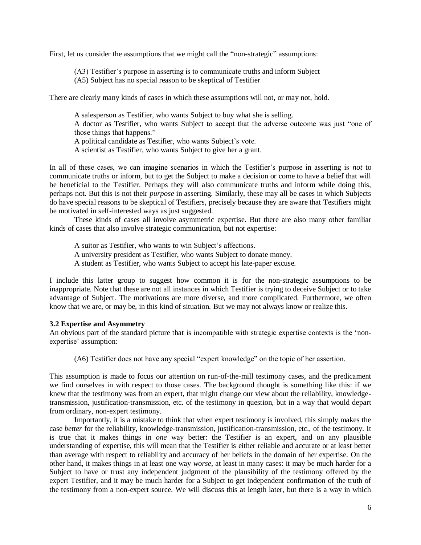First, let us consider the assumptions that we might call the "non-strategic" assumptions:

(A3) Testifier's purpose in asserting is to communicate truths and inform Subject

(A5) Subject has no special reason to be skeptical of Testifier

There are clearly many kinds of cases in which these assumptions will not, or may not, hold.

A salesperson as Testifier, who wants Subject to buy what she is selling.

A doctor as Testifier, who wants Subject to accept that the adverse outcome was just "one of those things that happens."

A political candidate as Testifier, who wants Subject's vote.

A scientist as Testifier, who wants Subject to give her a grant.

In all of these cases, we can imagine scenarios in which the Testifier's purpose in asserting is *not* to communicate truths or inform, but to get the Subject to make a decision or come to have a belief that will be beneficial to the Testifier. Perhaps they will also communicate truths and inform while doing this, perhaps not. But this is not their *purpose* in asserting. Similarly, these may all be cases in which Subjects do have special reasons to be skeptical of Testifiers, precisely because they are aware that Testifiers might be motivated in self-interested ways as just suggested.

These kinds of cases all involve asymmetric expertise. But there are also many other familiar kinds of cases that also involve strategic communication, but not expertise:

A suitor as Testifier, who wants to win Subject's affections.

A university president as Testifier, who wants Subject to donate money.

A student as Testifier, who wants Subject to accept his late-paper excuse.

I include this latter group to suggest how common it is for the non-strategic assumptions to be inappropriate. Note that these are not all instances in which Testifier is trying to deceive Subject or to take advantage of Subject. The motivations are more diverse, and more complicated. Furthermore, we often know that we are, or may be, in this kind of situation. But we may not always know or realize this.

# **3.2 Expertise and Asymmetry**

An obvious part of the standard picture that is incompatible with strategic expertise contexts is the 'nonexpertise' assumption:

(A6) Testifier does not have any special "expert knowledge" on the topic of her assertion.

This assumption is made to focus our attention on run-of-the-mill testimony cases, and the predicament we find ourselves in with respect to those cases. The background thought is something like this: if we knew that the testimony was from an expert, that might change our view about the reliability, knowledgetransmission, justification-transmission, etc. of the testimony in question, but in a way that would depart from ordinary, non-expert testimony.

Importantly, it is a mistake to think that when expert testimony is involved, this simply makes the case *better* for the reliability, knowledge-transmission, justification-transmission, etc., of the testimony. It is true that it makes things in *one* way better: the Testifier is an expert, and on any plausible understanding of expertise, this will mean that the Testifier is either reliable and accurate or at least better than average with respect to reliability and accuracy of her beliefs in the domain of her expertise. On the other hand, it makes things in at least one way *worse*, at least in many cases: it may be much harder for a Subject to have or trust any independent judgment of the plausibility of the testimony offered by the expert Testifier, and it may be much harder for a Subject to get independent confirmation of the truth of the testimony from a non-expert source. We will discuss this at length later, but there is a way in which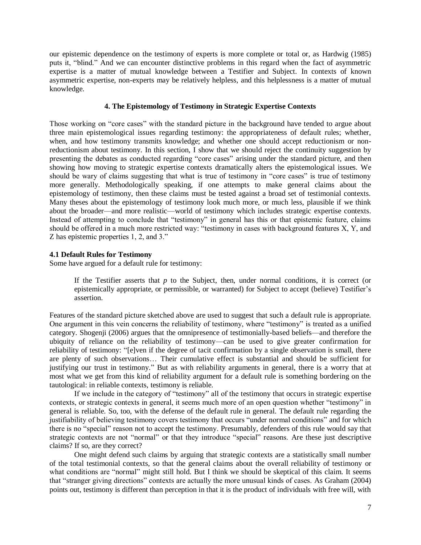our epistemic dependence on the testimony of experts is more complete or total or, as Hardwig (1985) puts it, "blind." And we can encounter distinctive problems in this regard when the fact of asymmetric expertise is a matter of mutual knowledge between a Testifier and Subject. In contexts of known asymmetric expertise, non-experts may be relatively helpless, and this helplessness is a matter of mutual knowledge.

## **4. The Epistemology of Testimony in Strategic Expertise Contexts**

Those working on "core cases" with the standard picture in the background have tended to argue about three main epistemological issues regarding testimony: the appropriateness of default rules; whether, when, and how testimony transmits knowledge; and whether one should accept reductionism or nonreductionism about testimony. In this section, I show that we should reject the continuity suggestion by presenting the debates as conducted regarding "core cases" arising under the standard picture, and then showing how moving to strategic expertise contexts dramatically alters the epistemological issues. We should be wary of claims suggesting that what is true of testimony in "core cases" is true of testimony more generally. Methodologically speaking, if one attempts to make general claims about the epistemology of testimony, then these claims must be tested against a broad set of testimonial contexts. Many theses about the epistemology of testimony look much more, or much less, plausible if we think about the broader—and more realistic—world of testimony which includes strategic expertise contexts. Instead of attempting to conclude that "testimony" in general has this or that epistemic feature, claims should be offered in a much more restricted way: "testimony in cases with background features X, Y, and Z has epistemic properties 1, 2, and 3."

## **4.1 Default Rules for Testimony**

Some have argued for a default rule for testimony:

If the Testifier asserts that *p* to the Subject, then, under normal conditions, it is correct (or epistemically appropriate, or permissible, or warranted) for Subject to accept (believe) Testifier's assertion.

Features of the standard picture sketched above are used to suggest that such a default rule is appropriate. One argument in this vein concerns the reliability of testimony, where "testimony" is treated as a unified category. Shogenji (2006) argues that the omnipresence of testimonially-based beliefs—and therefore the ubiquity of reliance on the reliability of testimony—can be used to give greater confirmation for reliability of testimony: "[e]ven if the degree of tacit confirmation by a single observation is small, there are plenty of such observations… Their cumulative effect is substantial and should be sufficient for justifying our trust in testimony." But as with reliability arguments in general, there is a worry that at most what we get from this kind of reliability argument for a default rule is something bordering on the tautological: in reliable contexts, testimony is reliable.

If we include in the category of "testimony" all of the testimony that occurs in strategic expertise contexts, or strategic contexts in general, it seems much more of an open question whether "testimony" in general is reliable. So, too, with the defense of the default rule in general. The default rule regarding the justifiability of believing testimony covers testimony that occurs "under normal conditions" and for which there is no "special" reason not to accept the testimony. Presumably, defenders of this rule would say that strategic contexts are not "normal" or that they introduce "special" reasons. Are these just descriptive claims? If so, are they correct?

One might defend such claims by arguing that strategic contexts are a statistically small number of the total testimonial contexts, so that the general claims about the overall reliability of testimony or what conditions are "normal" might still hold. But I think we should be skeptical of this claim. It seems that "stranger giving directions" contexts are actually the more unusual kinds of cases. As Graham (2004) points out, testimony is different than perception in that it is the product of individuals with free will, with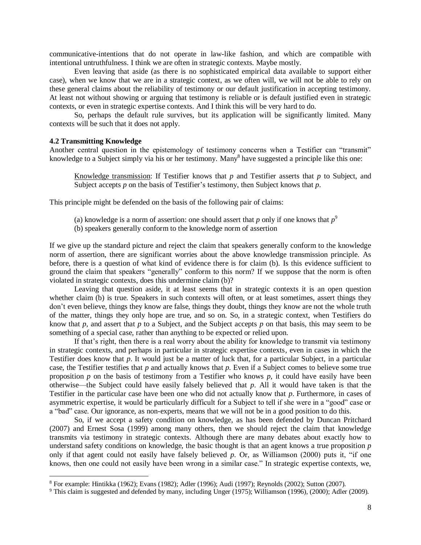communicative-intentions that do not operate in law-like fashion, and which are compatible with intentional untruthfulness. I think we are often in strategic contexts. Maybe mostly.

Even leaving that aside (as there is no sophisticated empirical data available to support either case), when we know that we are in a strategic context, as we often will, we will not be able to rely on these general claims about the reliability of testimony or our default justification in accepting testimony. At least not without showing or arguing that testimony is reliable or is default justified even in strategic contexts, or even in strategic expertise contexts. And I think this will be very hard to do.

So, perhaps the default rule survives, but its application will be significantly limited. Many contexts will be such that it does not apply.

## **4.2 Transmitting Knowledge**

l

Another central question in the epistemology of testimony concerns when a Testifier can "transmit" knowledge to a Subject simply via his or her testimony. Many<sup>8</sup> have suggested a principle like this one:

Knowledge transmission: If Testifier knows that *p* and Testifier asserts that *p* to Subject, and Subject accepts *p* on the basis of Testifier's testimony, then Subject knows that *p*.

This principle might be defended on the basis of the following pair of claims:

- (a) knowledge is a norm of assertion: one should assert that  $p$  only if one knows that  $p^9$
- (b) speakers generally conform to the knowledge norm of assertion

If we give up the standard picture and reject the claim that speakers generally conform to the knowledge norm of assertion, there are significant worries about the above knowledge transmission principle. As before, there is a question of what kind of evidence there is for claim (b). Is this evidence sufficient to ground the claim that speakers "generally" conform to this norm? If we suppose that the norm is often violated in strategic contexts, does this undermine claim (b)?

Leaving that question aside, it at least seems that in strategic contexts it is an open question whether claim (b) is true. Speakers in such contexts will often, or at least sometimes, assert things they don't even believe, things they know are false, things they doubt, things they know are not the whole truth of the matter, things they only hope are true, and so on. So, in a strategic context, when Testifiers do know that *p*, and assert that *p* to a Subject, and the Subject accepts *p* on that basis, this may seem to be something of a special case, rather than anything to be expected or relied upon.

If that's right, then there is a real worry about the ability for knowledge to transmit via testimony in strategic contexts, and perhaps in particular in strategic expertise contexts, even in cases in which the Testifier does know that *p*. It would just be a matter of luck that, for a particular Subject, in a particular case, the Testifier testifies that *p* and actually knows that *p*. Even if a Subject comes to believe some true proposition  $p$  on the basis of testimony from a Testifier who knows  $p$ , it could have easily have been otherwise—the Subject could have easily falsely believed that *p*. All it would have taken is that the Testifier in the particular case have been one who did not actually know that *p*. Furthermore, in cases of asymmetric expertise, it would be particularly difficult for a Subject to tell if she were in a "good" case or a "bad" case. Our ignorance, as non-experts, means that we will not be in a good position to do this.

So, if we accept a safety condition on knowledge, as has been defended by Duncan Pritchard (2007) and Ernest Sosa (1999) among many others, then we should reject the claim that knowledge transmits via testimony in strategic contexts. Although there are many debates about exactly how to understand safety conditions on knowledge, the basic thought is that an agent knows a true proposition *p*  only if that agent could not easily have falsely believed *p*. Or, as Williamson (2000) puts it, "if one knows, then one could not easily have been wrong in a similar case." In strategic expertise contexts, we,

<sup>8</sup> For example: Hintikka (1962); Evans (1982); Adler (1996); Audi (1997); Reynolds (2002); Sutton (2007).

<sup>9</sup> This claim is suggested and defended by many, including Unger (1975); Williamson (1996), (2000); Adler (2009).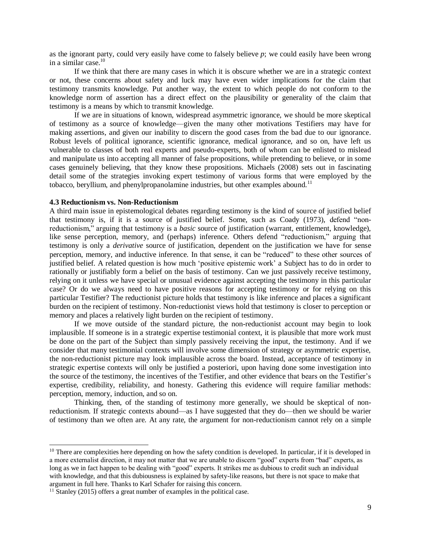as the ignorant party, could very easily have come to falsely believe *p*; we could easily have been wrong in a similar case. 10

If we think that there are many cases in which it is obscure whether we are in a strategic context or not, these concerns about safety and luck may have even wider implications for the claim that testimony transmits knowledge. Put another way, the extent to which people do not conform to the knowledge norm of assertion has a direct effect on the plausibility or generality of the claim that testimony is a means by which to transmit knowledge.

If we are in situations of known, widespread asymmetric ignorance, we should be more skeptical of testimony as a source of knowledge—given the many other motivations Testifiers may have for making assertions, and given our inability to discern the good cases from the bad due to our ignorance. Robust levels of political ignorance, scientific ignorance, medical ignorance, and so on, have left us vulnerable to classes of both real experts and pseudo-experts, both of whom can be enlisted to mislead and manipulate us into accepting all manner of false propositions, while pretending to believe, or in some cases genuinely believing, that they know these propositions. Michaels (2008) sets out in fascinating detail some of the strategies invoking expert testimony of various forms that were employed by the tobacco, beryllium, and phenylpropanolamine industries, but other examples abound.<sup>11</sup>

### **4.3 Reductionism vs. Non-Reductionism**

A third main issue in epistemological debates regarding testimony is the kind of source of justified belief that testimony is, if it is a source of justified belief. Some, such as Coady (1973), defend "nonreductionism," arguing that testimony is a *basic* source of justification (warrant, entitlement, knowledge), like sense perception, memory, and (perhaps) inference. Others defend "reductionism," arguing that testimony is only a *derivative* source of justification, dependent on the justification we have for sense perception, memory, and inductive inference. In that sense, it can be "reduced" to these other sources of justified belief. A related question is how much 'positive epistemic work' a Subject has to do in order to rationally or justifiably form a belief on the basis of testimony. Can we just passively receive testimony, relying on it unless we have special or unusual evidence against accepting the testimony in this particular case? Or do we always need to have positive reasons for accepting testimony or for relying on this particular Testifier? The reductionist picture holds that testimony is like inference and places a significant burden on the recipient of testimony. Non-reductionist views hold that testimony is closer to perception or memory and places a relatively light burden on the recipient of testimony.

If we move outside of the standard picture, the non-reductionist account may begin to look implausible. If someone is in a strategic expertise testimonial context, it is plausible that more work must be done on the part of the Subject than simply passively receiving the input, the testimony. And if we consider that many testimonial contexts will involve some dimension of strategy or asymmetric expertise, the non-reductionist picture may look implausible across the board. Instead, acceptance of testimony in strategic expertise contexts will only be justified a posteriori, upon having done some investigation into the source of the testimony, the incentives of the Testifier, and other evidence that bears on the Testifier's expertise, credibility, reliability, and honesty. Gathering this evidence will require familiar methods: perception, memory, induction, and so on.

Thinking, then, of the standing of testimony more generally, we should be skeptical of nonreductionism. If strategic contexts abound—as I have suggested that they do—then we should be warier of testimony than we often are. At any rate, the argument for non-reductionism cannot rely on a simple

<sup>&</sup>lt;sup>10</sup> There are complexities here depending on how the safety condition is developed. In particular, if it is developed in a more externalist direction, it may not matter that we are unable to discern "good" experts from "bad" experts, as long as we in fact happen to be dealing with "good" experts. It strikes me as dubious to credit such an individual with knowledge, and that this dubiousness is explained by safety-like reasons, but there is not space to make that argument in full here. Thanks to Karl Schafer for raising this concern.

 $11$  Stanley (2015) offers a great number of examples in the political case.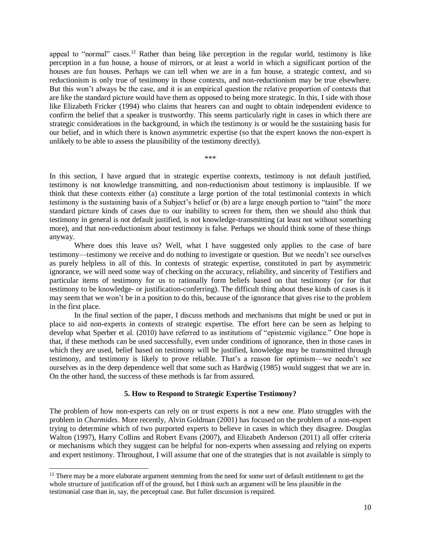appeal to "normal" cases.<sup>12</sup> Rather than being like perception in the regular world, testimony is like perception in a fun house, a house of mirrors, or at least a world in which a significant portion of the houses are fun houses. Perhaps we can tell when we are in a fun house, a strategic context, and so reductionism is only true of testimony in those contexts, and non-reductionism may be true elsewhere. But this won't always be the case, and it is an empirical question the relative proportion of contexts that are like the standard picture would have them as opposed to being more strategic. In this, I side with those like Elizabeth Fricker (1994) who claims that hearers can and ought to obtain independent evidence to confirm the belief that a speaker is trustworthy. This seems particularly right in cases in which there are strategic considerations in the background, in which the testimony is or would be the sustaining basis for our belief, and in which there is known asymmetric expertise (so that the expert knows the non-expert is unlikely to be able to assess the plausibility of the testimony directly).

\*\*\*

In this section, I have argued that in strategic expertise contexts, testimony is not default justified, testimony is not knowledge transmitting, and non-reductionism about testimony is implausible. If we think that these contexts either (a) constitute a large portion of the total testimonial contexts in which testimony is the sustaining basis of a Subject's belief or (b) are a large enough portion to "taint" the more standard picture kinds of cases due to our inability to screen for them, then we should also think that testimony in general is not default justified, is not knowledge-transmitting (at least not without something more), and that non-reductionism about testimony is false. Perhaps we should think some of these things anyway.

Where does this leave us? Well, what I have suggested only applies to the case of bare testimony—testimony we receive and do nothing to investigate or question. But we needn't see ourselves as purely helpless in all of this. In contexts of strategic expertise, constituted in part by asymmetric ignorance, we will need some way of checking on the accuracy, reliability, and sincerity of Testifiers and particular items of testimony for us to rationally form beliefs based on that testimony (or for that testimony to be knowledge- or justification-conferring). The difficult thing about these kinds of cases is it may seem that we won't be in a position to do this, because of the ignorance that gives rise to the problem in the first place.

In the final section of the paper, I discuss methods and mechanisms that might be used or put in place to aid non-experts in contexts of strategic expertise. The effort here can be seen as helping to develop what Sperber et al. (2010) have referred to as institutions of "epistemic vigilance." One hope is that, if these methods can be used successfully, even under conditions of ignorance, then in those cases in which they are used, belief based on testimony will be justified, knowledge may be transmitted through testimony, and testimony is likely to prove reliable. That's a reason for optimism—we needn't see ourselves as in the deep dependence well that some such as Hardwig (1985) would suggest that we are in. On the other hand, the success of these methods is far from assured.

# **5. How to Respond to Strategic Expertise Testimony?**

The problem of how non-experts can rely on or trust experts is not a new one. Plato struggles with the problem in *Charmides*. More recently, Alvin Goldman (2001) has focused on the problem of a non-expert trying to determine which of two purported experts to believe in cases in which they disagree. Douglas Walton (1997), Harry Collins and Robert Evans (2007), and Elizabeth Anderson (2011) all offer criteria or mechanisms which they suggest can be helpful for non-experts when assessing and relying on experts and expert testimony. Throughout, I will assume that one of the strategies that is not available is simply to

<sup>&</sup>lt;sup>12</sup> There may be a more elaborate argument stemming from the need for some sort of default entitlement to get the whole structure of justification off of the ground, but I think such an argument will be less plausible in the testimonial case than in, say, the perceptual case. But fuller discussion is required.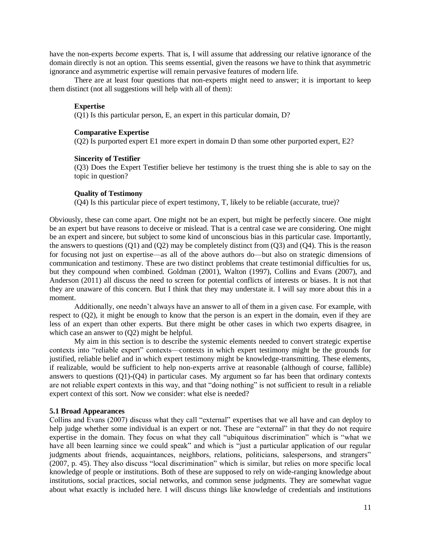have the non-experts *become* experts. That is, I will assume that addressing our relative ignorance of the domain directly is not an option. This seems essential, given the reasons we have to think that asymmetric ignorance and asymmetric expertise will remain pervasive features of modern life.

There are at least four questions that non-experts might need to answer; it is important to keep them distinct (not all suggestions will help with all of them):

## **Expertise**

(Q1) Is this particular person, E, an expert in this particular domain, D?

#### **Comparative Expertise**

(Q2) Is purported expert E1 more expert in domain D than some other purported expert, E2?

### **Sincerity of Testifier**

(Q3) Does the Expert Testifier believe her testimony is the truest thing she is able to say on the topic in question?

## **Quality of Testimony**

(Q4) Is this particular piece of expert testimony, T, likely to be reliable (accurate, true)?

Obviously, these can come apart. One might not be an expert, but might be perfectly sincere. One might be an expert but have reasons to deceive or mislead. That is a central case we are considering. One might be an expert and sincere, but subject to some kind of unconscious bias in this particular case. Importantly, the answers to questions  $(Q1)$  and  $(Q2)$  may be completely distinct from  $(Q3)$  and  $(Q4)$ . This is the reason for focusing not just on expertise—as all of the above authors do—but also on strategic dimensions of communication and testimony. These are two distinct problems that create testimonial difficulties for us, but they compound when combined. Goldman (2001), Walton (1997), Collins and Evans (2007), and Anderson (2011) all discuss the need to screen for potential conflicts of interests or biases. It is not that they are unaware of this concern. But I think that they may understate it. I will say more about this in a moment.

Additionally, one needn't always have an answer to all of them in a given case. For example, with respect to (Q2), it might be enough to know that the person is an expert in the domain, even if they are less of an expert than other experts. But there might be other cases in which two experts disagree, in which case an answer to (Q2) might be helpful.

My aim in this section is to describe the systemic elements needed to convert strategic expertise contexts into "reliable expert" contexts—contexts in which expert testimony might be the grounds for justified, reliable belief and in which expert testimony might be knowledge-transmitting. These elements, if realizable, would be sufficient to help non-experts arrive at reasonable (although of course, fallible) answers to questions (Q1)-(Q4) in particular cases. My argument so far has been that ordinary contexts are not reliable expert contexts in this way, and that "doing nothing" is not sufficient to result in a reliable expert context of this sort. Now we consider: what else is needed?

### **5.1 Broad Appearances**

Collins and Evans (2007) discuss what they call "external" expertises that we all have and can deploy to help judge whether some individual is an expert or not. These are "external" in that they do not require expertise in the domain. They focus on what they call "ubiquitous discrimination" which is "what we have all been learning since we could speak" and which is "just a particular application of our regular judgments about friends, acquaintances, neighbors, relations, politicians, salespersons, and strangers" (2007, p. 45). They also discuss "local discrimination" which is similar, but relies on more specific local knowledge of people or institutions. Both of these are supposed to rely on wide-ranging knowledge about institutions, social practices, social networks, and common sense judgments. They are somewhat vague about what exactly is included here. I will discuss things like knowledge of credentials and institutions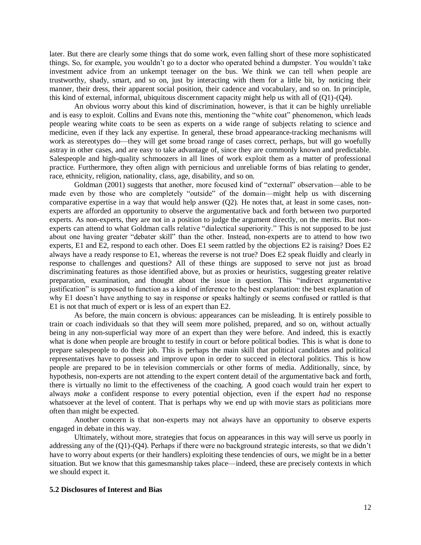later. But there are clearly some things that do some work, even falling short of these more sophisticated things. So, for example, you wouldn't go to a doctor who operated behind a dumpster. You wouldn't take investment advice from an unkempt teenager on the bus. We think we can tell when people are trustworthy, shady, smart, and so on, just by interacting with them for a little bit, by noticing their manner, their dress, their apparent social position, their cadence and vocabulary, and so on. In principle, this kind of external, informal, ubiquitous discernment capacity might help us with all of (Q1)-(Q4).

An obvious worry about this kind of discrimination, however, is that it can be highly unreliable and is easy to exploit. Collins and Evans note this, mentioning the "white coat" phenomenon, which leads people wearing white coats to be seen as experts on a wide range of subjects relating to science and medicine, even if they lack any expertise. In general, these broad appearance-tracking mechanisms will work as stereotypes do—they will get some broad range of cases correct, perhaps, but will go woefully astray in other cases, and are easy to take advantage of, since they are commonly known and predictable. Salespeople and high-quality schmoozers in all lines of work exploit them as a matter of professional practice. Furthermore, they often align with pernicious and unreliable forms of bias relating to gender, race, ethnicity, religion, nationality, class, age, disability, and so on.

Goldman (2001) suggests that another, more focused kind of "external" observation—able to be made even by those who are completely "outside" of the domain—might help us with discerning comparative expertise in a way that would help answer (Q2). He notes that, at least in some cases, nonexperts are afforded an opportunity to observe the argumentative back and forth between two purported experts. As non-experts, they are not in a position to judge the argument directly, on the merits. But nonexperts can attend to what Goldman calls relative "dialectical superiority." This is not supposed to be just about one having greater "debater skill" than the other. Instead, non-experts are to attend to how two experts, E1 and E2, respond to each other. Does E1 seem rattled by the objections E2 is raising? Does E2 always have a ready response to E1, whereas the reverse is not true? Does E2 speak fluidly and clearly in response to challenges and questions? All of these things are supposed to serve not just as broad discriminating features as those identified above, but as proxies or heuristics, suggesting greater relative preparation, examination, and thought about the issue in question. This "indirect argumentative justification" is supposed to function as a kind of inference to the best explanation: the best explanation of why E1 doesn't have anything to say in response or speaks haltingly or seems confused or rattled is that E1 is not that much of expert or is less of an expert than E2.

As before, the main concern is obvious: appearances can be misleading. It is entirely possible to train or coach individuals so that they will seem more polished, prepared, and so on, without actually being in any non-superficial way more of an expert than they were before. And indeed, this is exactly what is done when people are brought to testify in court or before political bodies. This is what is done to prepare salespeople to do their job. This is perhaps the main skill that political candidates and political representatives have to possess and improve upon in order to succeed in electoral politics. This is how people are prepared to be in television commercials or other forms of media. Additionally, since, by hypothesis, non-experts are not attending to the expert content detail of the argumentative back and forth, there is virtually no limit to the effectiveness of the coaching. A good coach would train her expert to always *make* a confident response to every potential objection, even if the expert *had* no response whatsoever at the level of content. That is perhaps why we end up with movie stars as politicians more often than might be expected.

Another concern is that non-experts may not always have an opportunity to observe experts engaged in debate in this way.

Ultimately, without more, strategies that focus on appearances in this way will serve us poorly in addressing any of the (Q1)-(Q4). Perhaps if there were no background strategic interests, so that we didn't have to worry about experts (or their handlers) exploiting these tendencies of ours, we might be in a better situation. But we know that this gamesmanship takes place—indeed, these are precisely contexts in which we should expect it.

# **5.2 Disclosures of Interest and Bias**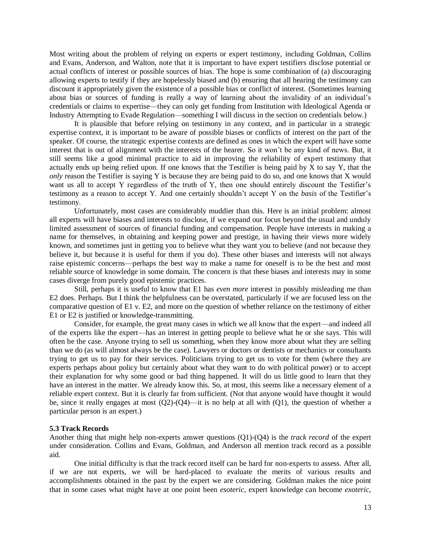Most writing about the problem of relying on experts or expert testimony, including Goldman, Collins and Evans, Anderson, and Walton, note that it is important to have expert testifiers disclose potential or actual conflicts of interest or possible sources of bias. The hope is some combination of (a) discouraging allowing experts to testify if they are hopelessly biased and (b) ensuring that all hearing the testimony can discount it appropriately given the existence of a possible bias or conflict of interest. (Sometimes learning about bias or sources of funding is really a way of learning about the invalidity of an individual's credentials or claims to expertise—they can only get funding from Institution with Ideological Agenda or Industry Attempting to Evade Regulation—something I will discuss in the section on credentials below.)

It is plausible that before relying on testimony in any context, and in particular in a strategic expertise context, it is important to be aware of possible biases or conflicts of interest on the part of the speaker. Of course, the strategic expertise contexts are defined as ones in which the expert will have some interest that is out of alignment with the interests of the hearer. So it won't be any kind of news. But, it still seems like a good minimal practice to aid in improving the reliability of expert testimony that actually ends up being relied upon. If one knows that the Testifier is being paid by X to say Y, that the *only* reason the Testifier is saying Y is because they are being paid to do so, and one knows that X would want us all to accept Y regardless of the truth of Y, then one should entirely discount the Testifier's testimony as a reason to accept Y. And one certainly shouldn't accept Y on the *basis* of the Testifier's testimony.

Unfortunately, most cases are considerably muddier than this. Here is an initial problem: almost all experts will have biases and interests to disclose, if we expand our focus beyond the usual and unduly limited assessment of sources of financial funding and compensation. People have interests in making a name for themselves, in obtaining and keeping power and prestige, in having their views more widely known, and sometimes just in getting you to believe what they want you to believe (and not because they believe it, but because it is useful for them if you do). These other biases and interests will not always raise epistemic concerns—perhaps the best way to make a name for oneself is to be the best and most reliable source of knowledge in some domain. The concern is that these biases and interests may in some cases diverge from purely good epistemic practices.

Still, perhaps it is useful to know that E1 has *even more* interest in possibly misleading me than E2 does. Perhaps. But I think the helpfulness can be overstated, particularly if we are focused less on the comparative question of E1 v. E2, and more on the question of whether reliance on the testimony of either E1 or E2 is justified or knowledge-transmitting.

Consider, for example, the great many cases in which we all know that the expert—and indeed all of the experts like the expert—has an interest in getting people to believe what he or she says. This will often be the case. Anyone trying to sell us something, when they know more about what they are selling than we do (as will almost always be the case). Lawyers or doctors or dentists or mechanics or consultants trying to get us to pay for their services. Politicians trying to get us to vote for them (where they are experts perhaps about policy but certainly about what they want to do with political power) or to accept their explanation for why some good or bad thing happened. It will do us little good to learn that they have an interest in the matter. We already know this. So, at most, this seems like a necessary element of a reliable expert context. But it is clearly far from sufficient. (Not that anyone would have thought it would be, since it really engages at most (Q2)-(Q4)—it is no help at all with (Q1), the question of whether a particular person is an expert.)

### **5.3 Track Records**

Another thing that might help non-experts answer questions (Q1)-(Q4) is the *track record* of the expert under consideration. Collins and Evans, Goldman, and Anderson all mention track record as a possible aid.

One initial difficulty is that the track record itself can be hard for non-experts to assess. After all, if we are not experts, we will be hard-placed to evaluate the merits of various results and accomplishments obtained in the past by the expert we are considering. Goldman makes the nice point that in some cases what might have at one point been *esoteric*, expert knowledge can become *exoteric*,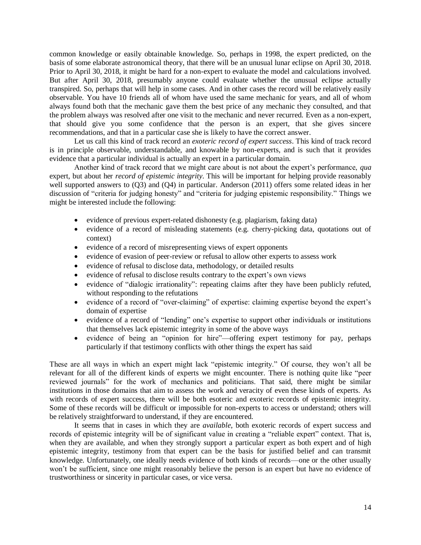common knowledge or easily obtainable knowledge. So, perhaps in 1998, the expert predicted, on the basis of some elaborate astronomical theory, that there will be an unusual lunar eclipse on April 30, 2018. Prior to April 30, 2018, it might be hard for a non-expert to evaluate the model and calculations involved. But after April 30, 2018, presumably anyone could evaluate whether the unusual eclipse actually transpired. So, perhaps that will help in some cases. And in other cases the record will be relatively easily observable. You have 10 friends all of whom have used the same mechanic for years, and all of whom always found both that the mechanic gave them the best price of any mechanic they consulted, and that the problem always was resolved after one visit to the mechanic and never recurred. Even as a non-expert, that should give you some confidence that the person is an expert, that she gives sincere recommendations, and that in a particular case she is likely to have the correct answer.

Let us call this kind of track record an *exoteric record of expert success*. This kind of track record is in principle observable, understandable, and knowable by non-experts, and is such that it provides evidence that a particular individual is actually an expert in a particular domain.

Another kind of track record that we might care about is not about the expert's performance, *qua*  expert, but about her *record of epistemic integrity*. This will be important for helping provide reasonably well supported answers to (Q3) and (Q4) in particular. Anderson (2011) offers some related ideas in her discussion of "criteria for judging honesty" and "criteria for judging epistemic responsibility." Things we might be interested include the following:

- evidence of previous expert-related dishonesty (e.g. plagiarism, faking data)
- evidence of a record of misleading statements (e.g. cherry-picking data, quotations out of context)
- evidence of a record of misrepresenting views of expert opponents
- evidence of evasion of peer-review or refusal to allow other experts to assess work
- evidence of refusal to disclose data, methodology, or detailed results
- evidence of refusal to disclose results contrary to the expert's own views
- evidence of "dialogic irrationality": repeating claims after they have been publicly refuted, without responding to the refutations
- evidence of a record of "over-claiming" of expertise: claiming expertise beyond the expert's domain of expertise
- evidence of a record of "lending" one's expertise to support other individuals or institutions that themselves lack epistemic integrity in some of the above ways
- evidence of being an "opinion for hire"—offering expert testimony for pay, perhaps particularly if that testimony conflicts with other things the expert has said

These are all ways in which an expert might lack "epistemic integrity." Of course, they won't all be relevant for all of the different kinds of experts we might encounter. There is nothing quite like "peer reviewed journals" for the work of mechanics and politicians. That said, there might be similar institutions in those domains that aim to assess the work and veracity of even these kinds of experts. As with records of expert success, there will be both esoteric and exoteric records of epistemic integrity. Some of these records will be difficult or impossible for non-experts to access or understand; others will be relatively straightforward to understand, if they are encountered.

It seems that in cases in which they are *available*, both exoteric records of expert success and records of epistemic integrity will be of significant value in creating a "reliable expert" context. That is, when they are available, and when they strongly support a particular expert as both expert and of high epistemic integrity, testimony from that expert can be the basis for justified belief and can transmit knowledge. Unfortunately, one ideally needs evidence of both kinds of records—one or the other usually won't be sufficient, since one might reasonably believe the person is an expert but have no evidence of trustworthiness or sincerity in particular cases, or vice versa.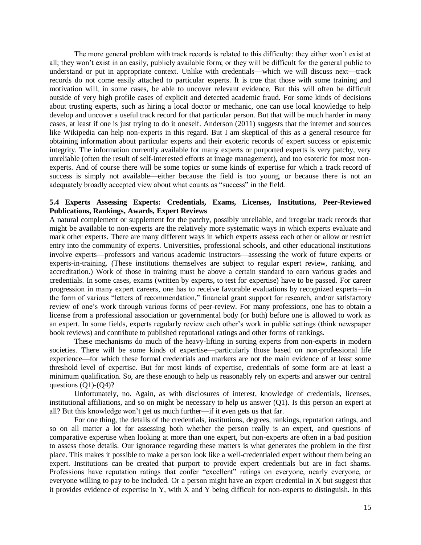The more general problem with track records is related to this difficulty: they either won't exist at all; they won't exist in an easily, publicly available form; or they will be difficult for the general public to understand or put in appropriate context. Unlike with credentials—which we will discuss next—track records do not come easily attached to particular experts. It is true that those with some training and motivation will, in some cases, be able to uncover relevant evidence. But this will often be difficult outside of very high profile cases of explicit and detected academic fraud. For some kinds of decisions about trusting experts, such as hiring a local doctor or mechanic, one can use local knowledge to help develop and uncover a useful track record for that particular person. But that will be much harder in many cases, at least if one is just trying to do it oneself. Anderson (2011) suggests that the internet and sources like Wikipedia can help non-experts in this regard. But I am skeptical of this as a general resource for obtaining information about particular experts and their exoteric records of expert success or epistemic integrity. The information currently available for many experts or purported experts is very patchy, very unreliable (often the result of self-interested efforts at image management), and too esoteric for most nonexperts. And of course there will be some topics or some kinds of expertise for which a track record of success is simply not available—either because the field is too young, or because there is not an adequately broadly accepted view about what counts as "success" in the field.

## **5.4 Experts Assessing Experts: Credentials, Exams, Licenses, Institutions, Peer-Reviewed Publications, Rankings, Awards, Expert Reviews**

A natural complement or supplement for the patchy, possibly unreliable, and irregular track records that might be available to non-experts are the relatively more systematic ways in which experts evaluate and mark other experts. There are many different ways in which experts assess each other or allow or restrict entry into the community of experts. Universities, professional schools, and other educational institutions involve experts—professors and various academic instructors—assessing the work of future experts or experts-in-training. (These institutions themselves are subject to regular expert review, ranking, and accreditation.) Work of those in training must be above a certain standard to earn various grades and credentials. In some cases, exams (written by experts, to test for expertise) have to be passed. For career progression in many expert careers, one has to receive favorable evaluations by recognized experts—in the form of various "letters of recommendation," financial grant support for research, and/or satisfactory review of one's work through various forms of peer-review. For many professions, one has to obtain a license from a professional association or governmental body (or both) before one is allowed to work as an expert. In some fields, experts regularly review each other's work in public settings (think newspaper book reviews) and contribute to published reputational ratings and other forms of rankings.

These mechanisms do much of the heavy-lifting in sorting experts from non-experts in modern societies. There will be some kinds of expertise—particularly those based on non-professional life experience—for which these formal credentials and markers are not the main evidence of at least some threshold level of expertise. But for most kinds of expertise, credentials of some form are at least a minimum qualification. So, are these enough to help us reasonably rely on experts and answer our central questions  $(O1)-(O4)$ ?

Unfortunately, no. Again, as with disclosures of interest, knowledge of credentials, licenses, institutional affiliations, and so on might be necessary to help us answer (Q1). Is this person an expert at all? But this knowledge won't get us much further—if it even gets us that far.

For one thing, the details of the credentials, institutions, degrees, rankings, reputation ratings, and so on all matter a lot for assessing both whether the person really is an expert, and questions of comparative expertise when looking at more than one expert, but non-experts are often in a bad position to assess those details. Our ignorance regarding these matters is what generates the problem in the first place. This makes it possible to make a person look like a well-credentialed expert without them being an expert. Institutions can be created that purport to provide expert credentials but are in fact shams. Professions have reputation ratings that confer "excellent" ratings on everyone, nearly everyone, or everyone willing to pay to be included. Or a person might have an expert credential in X but suggest that it provides evidence of expertise in Y, with X and Y being difficult for non-experts to distinguish. In this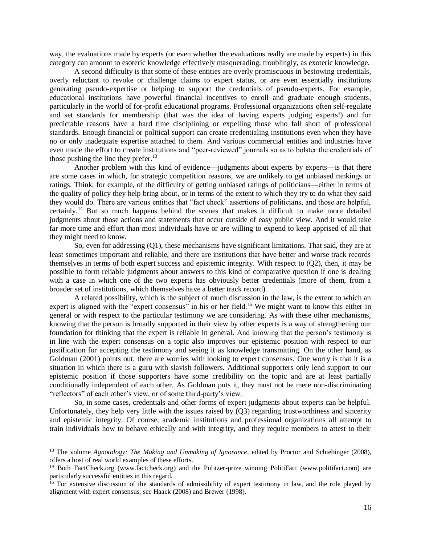way, the evaluations made by experts (or even whether the evaluations really are made by experts) in this category can amount to esoteric knowledge effectively masquerading, troublingly, as exoteric knowledge.

A second difficulty is that some of these entities are overly promiscuous in bestowing credentials, overly reluctant to revoke or challenge claims to expert status, or are even essentially institutions generating pseudo-expertise or helping to support the credentials of pseudo-experts. For example, educational institutions have powerful financial incentives to enroll and graduate enough students, particularly in the world of for-profit educational programs. Professional organizations often self-regulate and set standards for membership (that was the idea of having experts judging experts!) and for predictable reasons have a hard time disciplining or expelling those who fall short of professional standards. Enough financial or political support can create credentialing institutions even when they have no or only inadequate expertise attached to them. And various commercial entities and industries have even made the effort to create institutions and "peer-reviewed" journals so as to bolster the credentials of those pushing the line they prefer. $^{13}$ 

Another problem with this kind of evidence—judgments about experts by experts—is that there are some cases in which, for strategic competition reasons, we are unlikely to get unbiased rankings or ratings. Think, for example, of the difficulty of getting unbiased ratings of politicians—either in terms of the quality of policy they help bring about, or in terms of the extent to which they try to do what they said they would do. There are various entities that "fact check" assertions of politicians, and those are helpful, certainly.<sup>14</sup> But so much happens behind the scenes that makes it difficult to make more detailed judgments about those actions and statements that occur outside of easy public view. And it would take far more time and effort than most individuals have or are willing to expend to keep apprised of all that they might need to know.

So, even for addressing (Q1), these mechanisms have significant limitations. That said, they are at least sometimes important and reliable, and there are institutions that have better and worse track records themselves in terms of both expert success and epistemic integrity. With respect to (Q2), then, it may be possible to form reliable judgments about answers to this kind of comparative question if one is dealing with a case in which one of the two experts has obviously better credentials (more of them, from a broader set of institutions, which themselves have a better track record).

A related possibility, which is the subject of much discussion in the law, is the extent to which an expert is aligned with the "expert consensus" in his or her field.<sup>15</sup> We might want to know this either in general or with respect to the particular testimony we are considering. As with these other mechanisms, knowing that the person is broadly supported in their view by other experts is a way of strengthening our foundation for thinking that the expert is reliable in general. And knowing that the person's testimony is in line with the expert consensus on a topic also improves our epistemic position with respect to our justification for accepting the testimony and seeing it as knowledge transmitting. On the other hand, as Goldman (2001) points out, there are worries with looking to expert consensus. One worry is that it is a situation in which there is a guru with slavish followers. Additional supporters only lend support to our epistemic position if those supporters have some credibility on the topic and are at least partially conditionally independent of each other. As Goldman puts it, they must not be mere non-discriminating "reflectors" of each other's view, or of some third-party's view.

So, in some cases, credentials and other forms of expert judgments about experts can be helpful. Unfortunately, they help very little with the issues raised by (Q3) regarding trustworthiness and sincerity and epistemic integrity. Of course, academic institutions and professional organizations all attempt to train individuals how to behave ethically and with integrity, and they require members to attest to their

<sup>&</sup>lt;sup>13</sup> The volume *Agnotology: The Making and Unmaking of Ignorance*, edited by Proctor and Schiebinger (2008), offers a host of real world examples of these efforts.

<sup>&</sup>lt;sup>14</sup> Both FactCheck.org (www.factcheck.org) and the Pulitzer-prize winning PolitiFact (www.politifact.com) are particularly successful entities in this regard.

<sup>&</sup>lt;sup>15</sup> For extensive discussion of the standards of admissibility of expert testimony in law, and the role played by alignment with expert consensus, see Haack (2008) and Brewer (1998).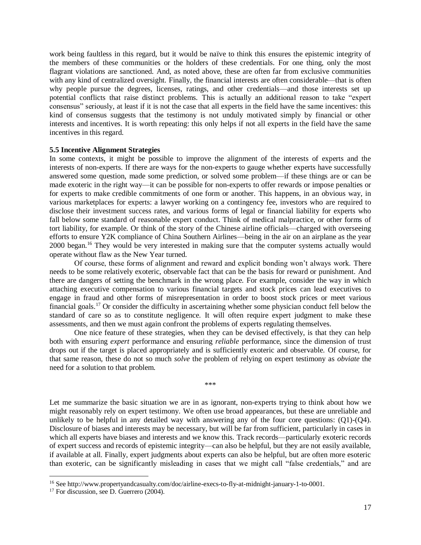work being faultless in this regard, but it would be naïve to think this ensures the epistemic integrity of the members of these communities or the holders of these credentials. For one thing, only the most flagrant violations are sanctioned. And, as noted above, these are often far from exclusive communities with any kind of centralized oversight. Finally, the financial interests are often considerable—that is often why people pursue the degrees, licenses, ratings, and other credentials—and those interests set up potential conflicts that raise distinct problems. This is actually an additional reason to take "expert consensus" seriously, at least if it is not the case that all experts in the field have the same incentives: this kind of consensus suggests that the testimony is not unduly motivated simply by financial or other interests and incentives. It is worth repeating: this only helps if not all experts in the field have the same incentives in this regard.

#### **5.5 Incentive Alignment Strategies**

In some contexts, it might be possible to improve the alignment of the interests of experts and the interests of non-experts. If there are ways for the non-experts to gauge whether experts have successfully answered some question, made some prediction, or solved some problem—if these things are or can be made exoteric in the right way—it can be possible for non-experts to offer rewards or impose penalties or for experts to make credible commitments of one form or another. This happens, in an obvious way, in various marketplaces for experts: a lawyer working on a contingency fee, investors who are required to disclose their investment success rates, and various forms of legal or financial liability for experts who fall below some standard of reasonable expert conduct. Think of medical malpractice, or other forms of tort liability, for example. Or think of the story of the Chinese airline officials—charged with overseeing efforts to ensure Y2K compliance of China Southern Airlines—being in the air on an airplane as the year 2000 began.<sup>16</sup> They would be very interested in making sure that the computer systems actually would operate without flaw as the New Year turned.

Of course, these forms of alignment and reward and explicit bonding won't always work. There needs to be some relatively exoteric, observable fact that can be the basis for reward or punishment. And there are dangers of setting the benchmark in the wrong place. For example, consider the way in which attaching executive compensation to various financial targets and stock prices can lead executives to engage in fraud and other forms of misrepresentation in order to boost stock prices or meet various financial goals.<sup>17</sup> Or consider the difficulty in ascertaining whether some physician conduct fell below the standard of care so as to constitute negligence. It will often require expert judgment to make these assessments, and then we must again confront the problems of experts regulating themselves.

One nice feature of these strategies, when they can be devised effectively, is that they can help both with ensuring *expert* performance and ensuring *reliable* performance, since the dimension of trust drops out if the target is placed appropriately and is sufficiently exoteric and observable. Of course, for that same reason, these do not so much *solve* the problem of relying on expert testimony as *obviate* the need for a solution to that problem.

\*\*\*

Let me summarize the basic situation we are in as ignorant, non-experts trying to think about how we might reasonably rely on expert testimony. We often use broad appearances, but these are unreliable and unlikely to be helpful in any detailed way with answering any of the four core questions: (Q1)-(Q4). Disclosure of biases and interests may be necessary, but will be far from sufficient, particularly in cases in which all experts have biases and interests and we know this. Track records—particularly exoteric records of expert success and records of epistemic integrity—can also be helpful, but they are not easily available, if available at all. Finally, expert judgments about experts can also be helpful, but are often more esoteric than exoteric, can be significantly misleading in cases that we might call "false credentials," and are

<sup>&</sup>lt;sup>16</sup> See http://www.propertyandcasualty.com/doc/airline-execs-to-fly-at-midnight-january-1-to-0001.

<sup>&</sup>lt;sup>17</sup> For discussion, see D. Guerrero (2004).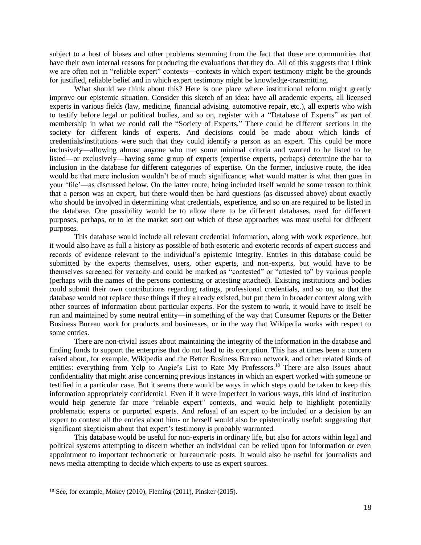subject to a host of biases and other problems stemming from the fact that these are communities that have their own internal reasons for producing the evaluations that they do. All of this suggests that I think we are often not in "reliable expert" contexts—contexts in which expert testimony might be the grounds for justified, reliable belief and in which expert testimony might be knowledge-transmitting.

What should we think about this? Here is one place where institutional reform might greatly improve our epistemic situation. Consider this sketch of an idea: have all academic experts, all licensed experts in various fields (law, medicine, financial advising, automotive repair, etc.), all experts who wish to testify before legal or political bodies, and so on, register with a "Database of Experts" as part of membership in what we could call the "Society of Experts." There could be different sections in the society for different kinds of experts. And decisions could be made about which kinds of credentials/institutions were such that they could identify a person as an expert. This could be more inclusively—allowing almost anyone who met some minimal criteria and wanted to be listed to be listed—or exclusively—having some group of experts (expertise experts, perhaps) determine the bar to inclusion in the database for different categories of expertise. On the former, inclusive route, the idea would be that mere inclusion wouldn't be of much significance; what would matter is what then goes in your 'file'—as discussed below. On the latter route, being included itself would be some reason to think that a person was an expert, but there would then be hard questions (as discussed above) about exactly who should be involved in determining what credentials, experience, and so on are required to be listed in the database. One possibility would be to allow there to be different databases, used for different purposes, perhaps, or to let the market sort out which of these approaches was most useful for different purposes.

This database would include all relevant credential information, along with work experience, but it would also have as full a history as possible of both esoteric and exoteric records of expert success and records of evidence relevant to the individual's epistemic integrity. Entries in this database could be submitted by the experts themselves, users, other experts, and non-experts, but would have to be themselves screened for veracity and could be marked as "contested" or "attested to" by various people (perhaps with the names of the persons contesting or attesting attached). Existing institutions and bodies could submit their own contributions regarding ratings, professional credentials, and so on, so that the database would not replace these things if they already existed, but put them in broader context along with other sources of information about particular experts. For the system to work, it would have to itself be run and maintained by some neutral entity—in something of the way that Consumer Reports or the Better Business Bureau work for products and businesses, or in the way that Wikipedia works with respect to some entries.

There are non-trivial issues about maintaining the integrity of the information in the database and finding funds to support the enterprise that do not lead to its corruption. This has at times been a concern raised about, for example, Wikipedia and the Better Business Bureau network, and other related kinds of entities: everything from Yelp to Angie's List to Rate My Professors.<sup>18</sup> There are also issues about confidentiality that might arise concerning previous instances in which an expert worked with someone or testified in a particular case. But it seems there would be ways in which steps could be taken to keep this information appropriately confidential. Even if it were imperfect in various ways, this kind of institution would help generate far more "reliable expert" contexts, and would help to highlight potentially problematic experts or purported experts. And refusal of an expert to be included or a decision by an expert to contest all the entries about him- or herself would also be epistemically useful: suggesting that significant skepticism about that expert's testimony is probably warranted.

This database would be useful for non-experts in ordinary life, but also for actors within legal and political systems attempting to discern whether an individual can be relied upon for information or even appointment to important technocratic or bureaucratic posts. It would also be useful for journalists and news media attempting to decide which experts to use as expert sources.

 $18$  See, for example, Mokey (2010), Fleming (2011), Pinsker (2015).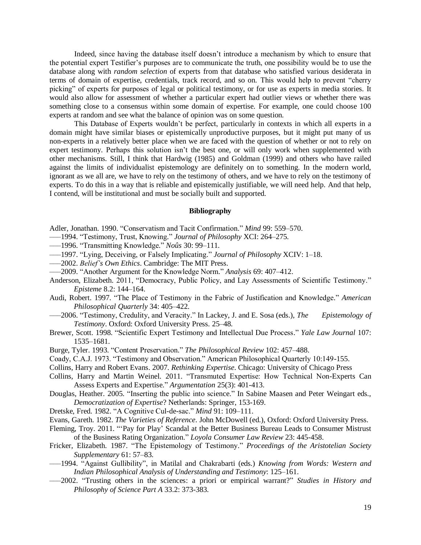Indeed, since having the database itself doesn't introduce a mechanism by which to ensure that the potential expert Testifier's purposes are to communicate the truth, one possibility would be to use the database along with *random selection* of experts from that database who satisfied various desiderata in terms of domain of expertise, credentials, track record, and so on. This would help to prevent "cherry picking" of experts for purposes of legal or political testimony, or for use as experts in media stories. It would also allow for assessment of whether a particular expert had outlier views or whether there was something close to a consensus within some domain of expertise. For example, one could choose 100 experts at random and see what the balance of opinion was on some question.

This Database of Experts wouldn't be perfect, particularly in contexts in which all experts in a domain might have similar biases or epistemically unproductive purposes, but it might put many of us non-experts in a relatively better place when we are faced with the question of whether or not to rely on expert testimony. Perhaps this solution isn't the best one, or will only work when supplemented with other mechanisms. Still, I think that Hardwig (1985) and Goldman (1999) and others who have railed against the limits of individualist epistemology are definitely on to something. In the modern world, ignorant as we all are, we have to rely on the testimony of others, and we have to rely on the testimony of experts. To do this in a way that is reliable and epistemically justifiable, we will need help. And that help, I contend, will be institutional and must be socially built and supported.

### **Bibliography**

- Adler, Jonathan. 1990. "Conservatism and Tacit Confirmation." *Mind* 99: 559–570.
- –––1994. "Testimony, Trust, Knowing." *Journal of Philosophy* XCI: 264–275.
- –––1996. "Transmitting Knowledge." *Noûs* 30: 99–111.
- –––1997. "Lying, Deceiving, or Falsely Implicating." *Journal of Philosophy* XCIV: 1–18.
- –––2002. *Belief's Own Ethics*. Cambridge: The MIT Press.
- –––2009. "Another Argument for the Knowledge Norm." *Analysis* 69: 407–412.
- Anderson, Elizabeth. 2011, "Democracy, Public Policy, and Lay Assessments of Scientific Testimony." *Episteme* 8.2: 144–164.
- Audi, Robert. 1997. "The Place of Testimony in the Fabric of Justification and Knowledge." *American Philosophical Quarterly* 34: 405–422.
- –––2006. "Testimony, Credulity, and Veracity." In Lackey, J. and E. Sosa (eds.), *The Epistemology of Testimony*. Oxford: Oxford University Press. 25–48.
- Brewer, Scott. 1998. "Scientific Expert Testimony and Intellectual Due Process." *Yale Law Journal* 107: 1535–1681.
- Burge, Tyler. 1993. "Content Preservation." *The Philosophical Review* 102: 457–488.
- Coady, C.A.J. 1973. "Testimony and Observation." American Philosophical Quarterly 10:149-155.
- Collins, Harry and Robert Evans. 2007. *Rethinking Expertise*. Chicago: University of Chicago Press
- Collins, Harry and Martin Weinel. 2011. "Transmuted Expertise: How Technical Non-Experts Can Assess Experts and Expertise." *Argumentation* 25(3): 401-413.
- Douglas, Heather. 2005. "Inserting the public into science." In Sabine Maasen and Peter Weingart eds., *Democratization of Expertise*? Netherlands: Springer, 153-169.
- Dretske, Fred. 1982. "A Cognitive Cul-de-sac." *Mind* 91: 109–111.
- Evans, Gareth. 1982. *The Varieties of Reference*. John McDowell (ed.), Oxford: Oxford University Press.
- Fleming, Troy. 2011. "'Pay for Play' Scandal at the Better Business Bureau Leads to Consumer Mistrust of the Business Rating Organization." *Loyola Consumer Law Review* 23: 445-458.
- Fricker, Elizabeth. 1987. "The Epistemology of Testimony." *Proceedings of the Aristotelian Society Supplementary* 61: 57–83.
- –––1994. "Against Gullibility", in Matilal and Chakrabarti (eds.) *Knowing from Words: Western and Indian Philosophical Analysis of Understanding and Testimony*: 125–161.
- –––2002. "Trusting others in the sciences: a priori or empirical warrant?" *Studies in History and Philosophy of Science Part A* 33.2: 373-383.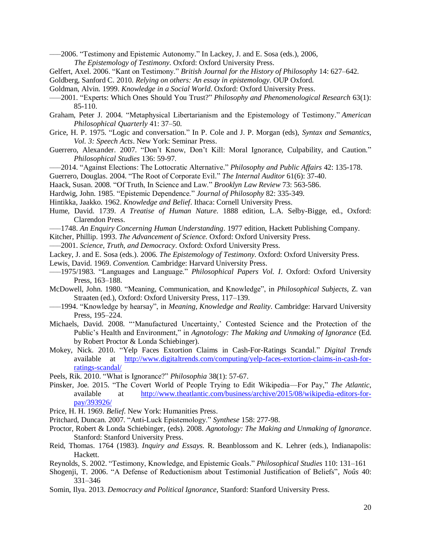–––2006. "Testimony and Epistemic Autonomy." In Lackey, J. and E. Sosa (eds.), 2006, *The Epistemology of Testimony.* Oxford: Oxford University Press.

- Gelfert, Axel. 2006. "Kant on Testimony." *British Journal for the History of Philosophy* 14: 627–642.
- Goldberg, Sanford C. 2010. *Relying on others: An essay in epistemology*. OUP Oxford.
- Goldman, Alvin. 1999. *Knowledge in a Social World*. Oxford: Oxford University Press.
- –––2001. "Experts: Which Ones Should You Trust?" *Philosophy and Phenomenological Research* 63(1): 85-110.
- Graham, Peter J. 2004. "Metaphysical Libertarianism and the Epistemology of Testimony." *American Philosophical Quarterly* 41: 37–50.
- Grice, H. P. 1975. "Logic and conversation." In P. Cole and J. P. Morgan (eds), *Syntax and Semantics, Vol. 3: Speech Acts*. New York: Seminar Press.
- Guerrero, Alexander. 2007. "Don't Know, Don't Kill: Moral Ignorance, Culpability, and Caution." *Philosophical Studies* 136: 59-97.
- –––2014. "Against Elections: The Lottocratic Alternative." *Philosophy and Public Affairs* 42: 135-178.
- Guerrero, Douglas. 2004. "The Root of Corporate Evil." *The Internal Auditor* 61(6): 37-40.
- Haack, Susan. 2008. "Of Truth, In Science and Law." *Brooklyn Law Review* 73: 563-586.
- Hardwig, John. 1985. "Epistemic Dependence." *Journal of Philosophy* 82: 335-349.
- Hintikka, Jaakko. 1962. *Knowledge and Belief*. Ithaca: Cornell University Press.
- Hume, David. 1739. *A Treatise of Human Nature*. 1888 edition, L.A. Selby-Bigge, ed., Oxford: Clarendon Press.
- –––1748. *An Enquiry Concerning Human Understanding*. 1977 edition, Hackett Publishing Company.

Kitcher, Phillip. 1993. *The Advancement of Science.* Oxford: Oxford University Press.

- –––2001. *Science, Truth, and Democracy*. Oxford: Oxford University Press.
- Lackey, J. and E. Sosa (eds.). 2006. *The Epistemology of Testimony.* Oxford: Oxford University Press.
- Lewis, David. 1969. *Convention.* Cambridge: Harvard University Press.
- –––1975/1983. "Languages and Language." *Philosophical Papers Vol. I*. Oxford: Oxford University Press, 163–188.
- McDowell, John. 1980. "Meaning, Communication, and Knowledge", in *Philosophical Subjects*, Z. van Straaten (ed.), Oxford: Oxford University Press, 117–139.
- –––1994. "Knowledge by hearsay", in *Meaning, Knowledge and Reality*. Cambridge: Harvard University Press, 195–224.
- Michaels, David. 2008. "'Manufactured Uncertainty,' Contested Science and the Protection of the Public's Health and Environment," in *Agnotology: The Making and Unmaking of Ignorance* (Ed. by Robert Proctor & Londa Schiebinger).
- Mokey, Nick. 2010. "Yelp Faces Extortion Claims in Cash-For-Ratings Scandal." *Digital Trends* available at [http://www.digitaltrends.com/computing/yelp-faces-extortion-claims-in-cash-for](http://www.digitaltrends.com/computing/yelp-faces-extortion-claims-in-cash-for-ratings-scandal/)[ratings-scandal/](http://www.digitaltrends.com/computing/yelp-faces-extortion-claims-in-cash-for-ratings-scandal/)
- Peels, Rik. 2010. "What is Ignorance?" *Philosophia* 38(1): 57-67.
- Pinsker, Joe. 2015. "The Covert World of People Trying to Edit Wikipedia—For Pay," *The Atlantic*, available at [http://www.theatlantic.com/business/archive/2015/08/wikipedia-editors-for](http://www.theatlantic.com/business/archive/2015/08/wikipedia-editors-for-pay/393926/)[pay/393926/](http://www.theatlantic.com/business/archive/2015/08/wikipedia-editors-for-pay/393926/)
- Price, H. H. 1969. *Belief*. New York: Humanities Press.
- Pritchard, Duncan. 2007. "Anti-Luck Epistemology." *Synthese* 158: 277-98.
- Proctor, Robert & Londa Schiebinger, (eds). 2008. *Agnotology: The Making and Unmaking of Ignorance*. Stanford: Stanford University Press.
- Reid, Thomas. 1764 (1983). *Inquiry and Essays*. R. Beanblossom and K. Lehrer (eds.), Indianapolis: Hackett.
- Reynolds, S. 2002. "Testimony, Knowledge, and Epistemic Goals." *Philosophical Studies* 110: 131–161
- Shogenji, T. 2006. "A Defense of Reductionism about Testimonial Justification of Beliefs", *Noûs* 40: 331–346
- Somin, Ilya. 2013. *Democracy and Political Ignorance*, Stanford: Stanford University Press.